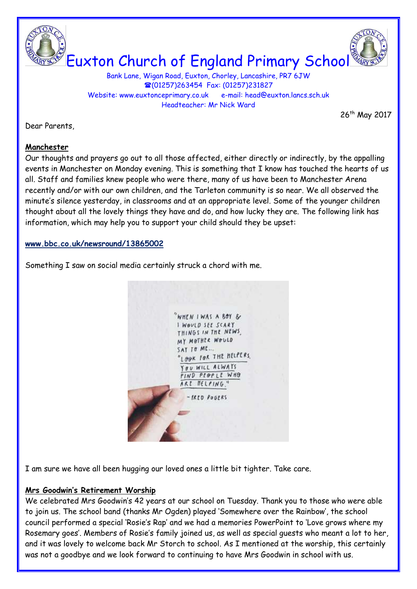



Euxton Church of England Primary School

Bank Lane, Wigan Road, Euxton, Chorley, Lancashire, PR7 6JW (01257)263454 Fax: (01257)231827 Website: www.euxtonceprimary.co.uk e-mail: [head@euxton.lancs.sch.uk](mailto:head@euxton.lancs.sch.uk) Headteacher: Mr Nick Ward

26<sup>th</sup> May 2017

Dear Parents,

## **Manchester**

Our thoughts and prayers go out to all those affected, either directly or indirectly, by the appalling events in Manchester on Monday evening. This is something that I know has touched the hearts of us all. Staff and families knew people who were there, many of us have been to Manchester Arena recently and/or with our own children, and the Tarleton community is so near. We all observed the minute's silence yesterday, in classrooms and at an appropriate level. Some of the younger children thought about all the lovely things they have and do, and how lucky they are. The following link has information, which may help you to support your child should they be upset:

## **[www.bbc.co.uk/newsround/13865002](http://www.bbc.co.uk/newsround/13865002)**

Something I saw on social media certainly struck a chord with me.



I am sure we have all been hugging our loved ones a little bit tighter. Take care.

# **Mrs Goodwin's Retirement Worship**

We celebrated Mrs Goodwin's 42 years at our school on Tuesday. Thank you to those who were able to join us. The school band (thanks Mr Ogden) played 'Somewhere over the Rainbow', the school council performed a special 'Rosie's Rap' and we had a memories PowerPoint to 'Love grows where my Rosemary goes'. Members of Rosie's family joined us, as well as special guests who meant a lot to her, and it was lovely to welcome back Mr Storch to school. As I mentioned at the worship, this certainly was not a goodbye and we look forward to continuing to have Mrs Goodwin in school with us.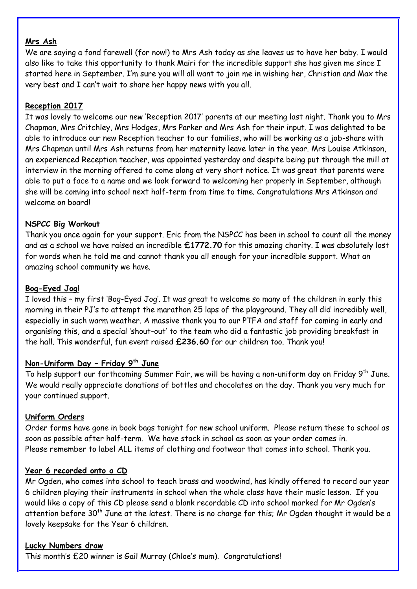## **Mrs Ash**

We are saying a fond farewell (for now!) to Mrs Ash today as she leaves us to have her baby. I would also like to take this opportunity to thank Mairi for the incredible support she has given me since I started here in September. I'm sure you will all want to join me in wishing her, Christian and Max the very best and I can't wait to share her happy news with you all.

## **Reception 2017**

It was lovely to welcome our new 'Reception 2017' parents at our meeting last night. Thank you to Mrs Chapman, Mrs Critchley, Mrs Hodges, Mrs Parker and Mrs Ash for their input. I was delighted to be able to introduce our new Reception teacher to our families, who will be working as a job-share with Mrs Chapman until Mrs Ash returns from her maternity leave later in the year. Mrs Louise Atkinson, an experienced Reception teacher, was appointed yesterday and despite being put through the mill at interview in the morning offered to come along at very short notice. It was great that parents were able to put a face to a name and we look forward to welcoming her properly in September, although she will be coming into school next half-term from time to time. Congratulations Mrs Atkinson and welcome on board!

## **NSPCC Big Workout**

Thank you once again for your support. Eric from the NSPCC has been in school to count all the money and as a school we have raised an incredible **£1772.70** for this amazing charity. I was absolutely lost for words when he told me and cannot thank you all enough for your incredible support. What an amazing school community we have.

## **Bog-Eyed Jog!**

I loved this – my first 'Bog-Eyed Jog'. It was great to welcome so many of the children in early this morning in their PJ's to attempt the marathon 25 laps of the playground. They all did incredibly well, especially in such warm weather. A massive thank you to our PTFA and staff for coming in early and organising this, and a special 'shout-out' to the team who did a fantastic job providing breakfast in the hall. This wonderful, fun event raised **£236.60** for our children too. Thank you!

## **Non-Uniform Day – Friday 9th June**

To help support our forthcoming Summer Fair, we will be having a non-uniform day on Friday 9<sup>th</sup> June. We would really appreciate donations of bottles and chocolates on the day. Thank you very much for your continued support.

## **Uniform Orders**

Order forms have gone in book bags tonight for new school uniform. Please return these to school as soon as possible after half-term. We have stock in school as soon as your order comes in. Please remember to label ALL items of clothing and footwear that comes into school. Thank you.

## **Year 6 recorded onto a CD**

Mr Ogden, who comes into school to teach brass and woodwind, has kindly offered to record our year 6 children playing their instruments in school when the whole class have their music lesson. If you would like a copy of this CD please send a blank recordable CD into school marked for Mr Ogden's attention before 30<sup>th</sup> June at the latest. There is no charge for this; Mr Ogden thought it would be a lovely keepsake for the Year 6 children.

## **Lucky Numbers draw**

This month's £20 winner is Gail Murray (Chloe's mum). Congratulations!